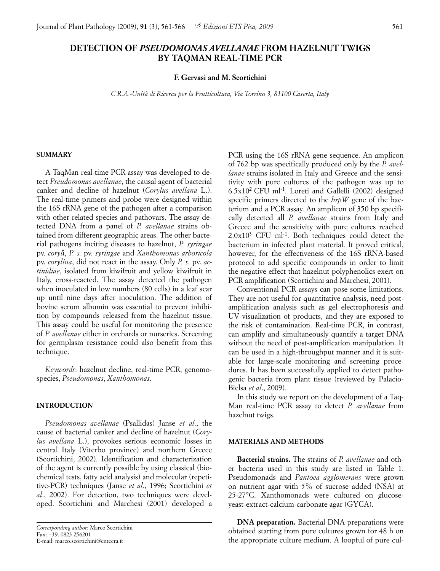# **DETECTION OF** *PSEUDOMONAS AVELLANAE* **FROM HAZELNUT TWIGS BY TAQMAN REAL-TIME PCR**

#### **F. Gervasi and M. Scortichini**

*C.R.A.-Unità di Ricerca per la Frutticoltura, Via Torrino 3, 81100 Caserta, Italy*

### **SUMMARY**

A TaqMan real-time PCR assay was developed to detect *Pseudomonas avellanae*, the causal agent of bacterial canker and decline of hazelnut (*Corylus avellana* L.). The real-time primers and probe were designed within the 16S rRNA gene of the pathogen after a comparison with other related species and pathovars. The assay detected DNA from a panel of *P. avellanae* strains obtained from different geographic areas. The other bacterial pathogens inciting diseases to hazelnut, *P. syringae* pv. *coryl*i, *P. s.* pv. *syringae* and *Xanthomonas arboricola* pv. *corylina*, did not react in the assay. Only *P. s.* pv. *actinidiae*, isolated from kiwifruit and yellow kiwifruit in Italy, cross-reacted. The assay detected the pathogen when inoculated in low numbers (80 cells) in a leaf scar up until nine days after inoculation. The addition of bovine serum albumin was essential to prevent inhibition by compounds released from the hazelnut tissue. This assay could be useful for monitoring the presence of *P. avellanae* either in orchards or nurseries. Screening for germplasm resistance could also benefit from this technique.

*Keywords*: hazelnut decline, real-time PCR, genomospecies, *Pseudomonas*, *Xanthomonas*.

#### **INTRODUCTION**

*Pseudomonas avellanae* (Psallidas) Janse *et al*., the cause of bacterial canker and decline of hazelnut (*Corylus avellana* L.), provokes serious economic losses in central Italy (Viterbo province) and northern Greece (Scortichini, 2002). Identification and characterization of the agent is currently possible by using classical (biochemical tests, fatty acid analysis) and molecular (repetitive-PCR) techniques (Janse *et al*., 1996; Scortichini *et al*., 2002). For detection, two techniques were developed. Scortichini and Marchesi (2001) developed a PCR using the 16S rRNA gene sequence. An amplicon of 762 bp was specifically produced only by the *P. avellanae* strains isolated in Italy and Greece and the sensitivity with pure cultures of the pathogen was up to 6.5x102 CFU ml-1. Loreti and Gallelli (2002) designed specific primers directed to the *hrpW* gene of the bacterium and a PCR assay. An amplicon of 350 bp specifically detected all *P. avellanae* strains from Italy and Greece and the sensitivity with pure cultures reached  $2.0x10<sup>3</sup>$  CFU ml<sup>-1</sup>. Both techniques could detect the bacterium in infected plant material. It proved critical, however, for the effectiveness of the 16S rRNA-based protocol to add specific compounds in order to limit the negative effect that hazelnut polyphenolics exert on PCR amplification (Scortichini and Marchesi, 2001).

Conventional PCR assays can pose some limitations. They are not useful for quantitative analysis, need postamplification analysis such as gel electrophoresis and UV visualization of products, and they are exposed to the risk of contamination. Real-time PCR, in contrast, can amplify and simultaneously quantify a target DNA without the need of post-amplification manipulation. It can be used in a high-throughput manner and it is suitable for large-scale monitoring and screening procedures. It has been successfully applied to detect pathogenic bacteria from plant tissue (reviewed by Palacio-Bielsa *et al*., 2009).

In this study we report on the development of a Taq-Man real-time PCR assay to detect *P. avellanae* from hazelnut twigs.

#### **MATERIALS AND METHODS**

**Bacterial strains.** The strains of *P. avellanae* and other bacteria used in this study are listed in Table 1. Pseudomonads and *Pantoea agglomerans* were grown on nutrient agar with 5% of sucrose added (NSA) at 25-27°C. Xanthomonads were cultured on glucoseyeast-extract-calcium-carbonate agar (GYCA).

**DNA preparation.** Bacterial DNA preparations were obtained starting from pure cultures grown for 48 h on the appropriate culture medium. A loopful of pure cul-

*Corresponding author*: Marco Scortichini Fax: +39. 0823 256201 E-mail: marco.scortichini@entecra.it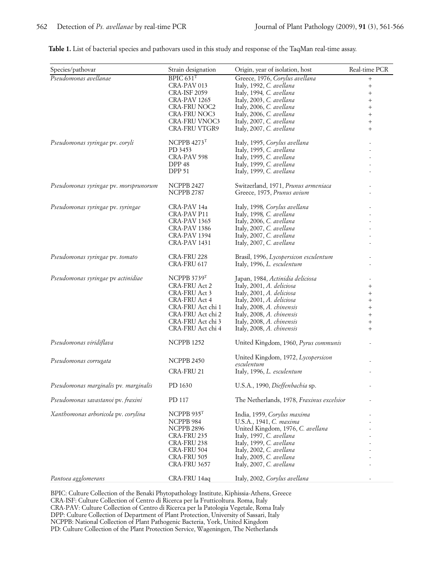|                                                                                                                                                                                                                                                                                                                                                                                                                                                                                                                                                                     |                                                                  | Table 1. List of bacterial species and pathovars used in this study and response of the TaqMan real-time assay.            |                     |
|---------------------------------------------------------------------------------------------------------------------------------------------------------------------------------------------------------------------------------------------------------------------------------------------------------------------------------------------------------------------------------------------------------------------------------------------------------------------------------------------------------------------------------------------------------------------|------------------------------------------------------------------|----------------------------------------------------------------------------------------------------------------------------|---------------------|
|                                                                                                                                                                                                                                                                                                                                                                                                                                                                                                                                                                     |                                                                  |                                                                                                                            |                     |
| Species/pathovar                                                                                                                                                                                                                                                                                                                                                                                                                                                                                                                                                    | Strain designation                                               | Origin, year of isolation, host                                                                                            | Real-time PCR       |
| Pseudomonas avellanae                                                                                                                                                                                                                                                                                                                                                                                                                                                                                                                                               | BPIC $631T$<br>CRA-PAV 013                                       | Greece, 1976, Corylus avellana<br>Italy, 1992, C. avellana                                                                 | $^+$<br>$\pm$       |
|                                                                                                                                                                                                                                                                                                                                                                                                                                                                                                                                                                     | <b>CRA-ISF 2059</b><br>CRA-PAV 1265                              | Italy, 1994, C. avellana                                                                                                   |                     |
|                                                                                                                                                                                                                                                                                                                                                                                                                                                                                                                                                                     | <b>CRA-FRU NOC2</b>                                              | Italy, 2003, C. avellana<br>Italy, 2006, C. avellana                                                                       | $^+$                |
|                                                                                                                                                                                                                                                                                                                                                                                                                                                                                                                                                                     | <b>CRA-FRU NOC3</b><br><b>CRA-FRU VNOC3</b>                      | Italy, 2006, C. avellana<br>Italy, 2007, C. avellana                                                                       | $\pm$               |
|                                                                                                                                                                                                                                                                                                                                                                                                                                                                                                                                                                     | CRA-FRU VTGR9                                                    | Italy, 2007, C. avellana                                                                                                   |                     |
| Pseudomonas syringae pv. coryli                                                                                                                                                                                                                                                                                                                                                                                                                                                                                                                                     | NCPPB $4273$ <sup>T</sup>                                        | Italy, 1995, Corylus avellana                                                                                              |                     |
|                                                                                                                                                                                                                                                                                                                                                                                                                                                                                                                                                                     | PD 3453<br>CRA-PAV 598                                           | Italy, 1995, C. avellana<br>Italy, 1995, C. avellana                                                                       |                     |
|                                                                                                                                                                                                                                                                                                                                                                                                                                                                                                                                                                     | DPP <sub>48</sub>                                                | Italy, 1999, C. avellana                                                                                                   |                     |
|                                                                                                                                                                                                                                                                                                                                                                                                                                                                                                                                                                     | <b>DPP 51</b>                                                    | Italy, 1999, C. avellana                                                                                                   |                     |
| Pseudomonas syringae pv. morsprunorum                                                                                                                                                                                                                                                                                                                                                                                                                                                                                                                               | <b>NCPPB 2427</b><br><b>NCPPB 2787</b>                           | Switzerland, 1971, Prunus armeniaca<br>Greece, 1975, Prunus avium                                                          |                     |
| Pseudomonas syringae pv. syringae                                                                                                                                                                                                                                                                                                                                                                                                                                                                                                                                   | CRA-PAV 14a                                                      | Italy, 1998, Corylus avellana                                                                                              |                     |
|                                                                                                                                                                                                                                                                                                                                                                                                                                                                                                                                                                     | <b>CRA-PAV P11</b><br>CRA-PAV 1365                               | Italy, 1998, C. avellana<br>Italy, 2006, C. avellana                                                                       |                     |
|                                                                                                                                                                                                                                                                                                                                                                                                                                                                                                                                                                     | <b>CRA-PAV 1386</b><br>CRA-PAV 1394                              | Italy, 2007, C. avellana<br>Italy, 2007, C. avellana                                                                       |                     |
|                                                                                                                                                                                                                                                                                                                                                                                                                                                                                                                                                                     | <b>CRA-PAV 1431</b>                                              | Italy, 2007, C. avellana                                                                                                   |                     |
| Pseudomonas syringae pv. tomato                                                                                                                                                                                                                                                                                                                                                                                                                                                                                                                                     | CRA-FRU 228<br>CRA-FRU 617                                       | Brasil, 1996, Lycopersicon esculentum<br>Italy, 1996, L. esculentum                                                        |                     |
| Pseudomonas syringae pv actinidiae                                                                                                                                                                                                                                                                                                                                                                                                                                                                                                                                  | NCPPB 3739T                                                      | Japan, 1984, Actinidia deliciosa                                                                                           |                     |
|                                                                                                                                                                                                                                                                                                                                                                                                                                                                                                                                                                     | CRA-FRU Act 2<br>CRA-FRU Act 3                                   | Italy, 2001, A. deliciosa                                                                                                  | $^{+}$              |
|                                                                                                                                                                                                                                                                                                                                                                                                                                                                                                                                                                     | CRA-FRU Act 4                                                    | Italy, 2001, A. deliciosa<br>Italy, 2001, A. deliciosa                                                                     | $^{+}$<br>$^{+}$    |
|                                                                                                                                                                                                                                                                                                                                                                                                                                                                                                                                                                     | CRA-FRU Act chi 1<br>CRA-FRU Act chi 2                           | Italy, 2008, A. chinensis<br>Italy, 2008, A. chinensis                                                                     | $\! +$<br>$\! + \!$ |
|                                                                                                                                                                                                                                                                                                                                                                                                                                                                                                                                                                     | CRA-FRU Act chi 3<br>CRA-FRU Act chi 4                           | Italy, 2008, A. chinensis<br>Italy, 2008, A. chinensis                                                                     | $\! +$<br>$^{+}$    |
|                                                                                                                                                                                                                                                                                                                                                                                                                                                                                                                                                                     |                                                                  |                                                                                                                            |                     |
| Pseudomonas viridiflava                                                                                                                                                                                                                                                                                                                                                                                                                                                                                                                                             | <b>NCPPB 1252</b>                                                | United Kingdom, 1960, Pyrus communis                                                                                       |                     |
| Pseudomonas corrugata                                                                                                                                                                                                                                                                                                                                                                                                                                                                                                                                               | <b>NCPPB 2450</b><br>CRA-FRU 21                                  | United Kingdom, 1972, Lycopersicon<br>esculentum<br>Italy, 1996, L. esculentum                                             |                     |
| Pseudomonas marginalis pv. marginalis                                                                                                                                                                                                                                                                                                                                                                                                                                                                                                                               | PD 1630                                                          | U.S.A., 1990, Dieffenbachia sp.                                                                                            |                     |
| Pseudomonas savastanoi pv. fraxini                                                                                                                                                                                                                                                                                                                                                                                                                                                                                                                                  | PD 117                                                           | The Netherlands, 1978, Fraxinus excelsior                                                                                  |                     |
| Xanthomonas arboricola pv. corylina                                                                                                                                                                                                                                                                                                                                                                                                                                                                                                                                 | NCPPB $935T$                                                     | India, 1959, Corylus maxima                                                                                                |                     |
|                                                                                                                                                                                                                                                                                                                                                                                                                                                                                                                                                                     | NCPPB 984                                                        | U.S.A., 1941, C. maxima                                                                                                    |                     |
|                                                                                                                                                                                                                                                                                                                                                                                                                                                                                                                                                                     | CRA-FRU 235                                                      | Italy, 1997, C. avellana                                                                                                   |                     |
|                                                                                                                                                                                                                                                                                                                                                                                                                                                                                                                                                                     | CRA-FRU 238                                                      | Italy, 1999, C. avellana                                                                                                   |                     |
|                                                                                                                                                                                                                                                                                                                                                                                                                                                                                                                                                                     | CRA-FRU 505                                                      | Italy, 2005, C. avellana                                                                                                   |                     |
|                                                                                                                                                                                                                                                                                                                                                                                                                                                                                                                                                                     |                                                                  |                                                                                                                            |                     |
|                                                                                                                                                                                                                                                                                                                                                                                                                                                                                                                                                                     |                                                                  |                                                                                                                            |                     |
| Pantoea agglomerans<br>BPIC: Culture Collection of the Benaki Phytopathology Institute, Kiphissia-Athens, Greece<br>CRA-ISF: Culture Collection of Centro di Ricerca per la Frutticoltura. Roma, Italy<br>CRA-PAV: Culture Collection of Centro di Ricerca per la Patologia Vegetale, Roma Italy<br>DPP: Culture Collection of Department of Plant Protection, University of Sassari, Italy<br>NCPPB: National Collection of Plant Pathogenic Bacteria, York, United Kingdom<br>PD: Culture Collection of the Plant Protection Service, Wageningen, The Netherlands | NCPPB 2896<br>CRA-FRU 504<br><b>CRA-FRU 3657</b><br>CRA-FRU 14aq | United Kingdom, 1976, C. avellana<br>Italy, 2002, C. avellana<br>Italy, 2007, C. avellana<br>Italy, 2002, Corylus avellana |                     |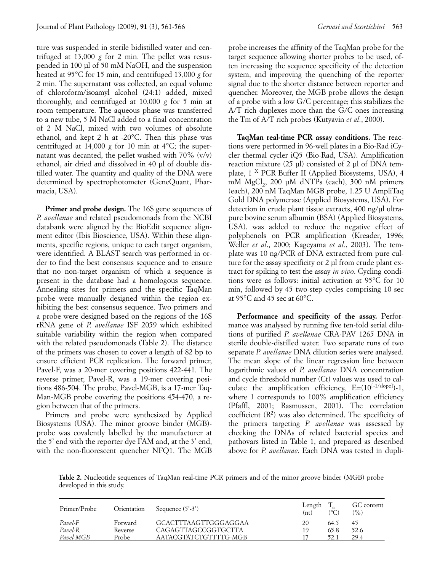ture was suspended in sterile bidistilled water and centrifuged at 13,000 *g* for 2 min. The pellet was resuspended in 100 µl of 50 mM NaOH, and the suspension heated at 95°C for 15 min, and centrifuged 13,000 *g* for 2 min. The supernatant was collected, an equal volume of chloroform/isoamyl alcohol (24:1) added, mixed thoroughly, and centrifuged at 10,000 *g* for 5 min at room temperature. The aqueous phase was transferred to a new tube, 5 M NaCl added to a final concentration of 2 M NaCl, mixed with two volumes of absolute ethanol, and kept 2 h at -20°C. Then this phase was centrifuged at 14,000 *g* for 10 min at 4°C; the supernatant was decanted, the pellet washed with 70% (v/v) ethanol, air dried and dissolved in 40 µl of double distilled water. The quantity and quality of the DNA were determined by spectrophotometer (GeneQuant, Pharmacia, USA).

**Primer and probe design.** The 16S gene sequences of *P. avellanae* and related pseudomonads from the NCBI databank were aligned by the BioEdit sequence alignment editor (Ibis Bioscience, USA). Within these alignments, specific regions, unique to each target organism, were identified. A BLAST search was performed in order to find the best consensus sequence and to ensure that no non-target organism of which a sequence is present in the database had a homologous sequence. Annealing sites for primers and the specific TaqMan probe were manually designed within the region exhibiting the best consensus sequence. Two primers and a probe were designed based on the regions of the 16S rRNA gene of *P. avellanae* ISF 2059 which exhibited suitable variability within the region when compared with the related pseudomonads (Table 2). The distance of the primers was chosen to cover a length of 82 bp to ensure efficient PCR replication. The forward primer, Pavel-F, was a 20-mer covering positions 422-441. The reverse primer, Pavel-R, was a 19-mer covering positions 486-504. The probe, Pavel-MGB, is a 17-mer Taq-Man-MGB probe covering the positions 454-470, a region between that of the primers. frid the best consensus sequence and to ensure the rest any specificity on in the database had a homologous sequence.<br>
in the database had a homologous sequence.<br>
in the station spires and the specific TaigMan min, follow *Payel* in the darbase had a bomologous sequence. To as well as the sample of the minimal activation in the darbase had a homologous sequence. To prime and the specific TaqMan minimal of the specific TaqMan minimal of the *Pavel-R* Reverse CAGAGTTAGCCGGTGCTTA 19 65.8 52.6 *Payel is* (in primes and the specific TapMan min, followed by 45 two-step cycles compared by a were designed by the best consensus sequence. Two primers and  $\pi$  at 59°C and 45 sec at 60°C.<br> *Pare designed by turning five* 

Primers and probe were synthesized by Applied Biosystems (USA). The minor groove binder (MGB) probe was covalently labelled by the manufacturer at the 5' end with the reporter dye FAM and, at the 3' end, with the non-fluorescent quencher NFQ1. The MGB probe increases the affinity of the TaqMan probe for the target sequence allowing shorter probes to be used, often increasing the sequence specificity of the detection system, and improving the quenching of the reporter signal due to the shorter distance between reporter and quencher. Moreover, the MGB probe allows the design of a probe with a low G/C percentage; this stabilizes the A/T rich duplexes more than the G/C ones increasing the Tm of A/T rich probes (Kutyavin *et al.*, 2000).

**TaqMan real-time PCR assay conditions.** The reactions were performed in 96-well plates in a Bio-Rad iCycler thermal cycler iQ5 (Bio-Rad, USA). Amplification reaction mixture (25 µl) consisted of 2 µl of DNA template, 1 X PCR Buffer II (Applied Biosystems, USA), 4 mM  $MgCl<sub>2</sub>$ , 200 µM dNTPs (each), 300 nM primers (each), 200 nM TaqMan MGB probe, 1.25 U AmpliTaq Gold DNA polymerase (Applied Biosystems, USA). For detection in crude plant tissue extracts, 400 ng/µl ultrapure bovine serum albumin (BSA) (Applied Biosystems, USA). was added to reduce the negative effect of polyphenols on PCR amplification (Kreader, 1996; Weller *et al*., 2000; Kageyama *et al*., 2003). The template was 10 ng/PCR of DNA extracted from pure culture for the assay specificity or 2 µl from crude plant extract for spiking to test the assay *in vivo*. Cycling conditions were as follows: initial activation at 95°C for 10 min, followed by 45 two-step cycles comprising 10 sec at 95°C and 45 sec at 60°C.

**Performance and specificity of the assay.** Performance was analysed by running five ten-fold serial dilutions of purified *P. avellanae* CRA-PAV 1265 DNA in sterile double-distilled water. Two separate runs of two separate *P. avellanae* DNA dilution series were analysed. The mean slope of the linear regression line between logarithmic values of *P. avellanae* DNA concentration and cycle threshold number (Ct) values was used to calculate the amplification efficiency,  $E=(10^{[-1/\text{slope}])}-1$ , where 1 corresponds to 100% amplification efficiency (Pfaffl, 2001; Rasmussen, 2001). The correlation coefficient  $(R^2)$  was also determined. The specificity of the primers targeting *P. avellanae* was assessed by checking the DNAs of related bacterial species and pathovars listed in Table 1, and prepared as described above for *P. avellanae*. Each DNA was tested in dupli-

**Table 2.** Nucleotide sequences of TaqMan real-time PCR primers and of the minor groove binder (MGB) probe developed in this study.

| Primer/Probe       | Orientation      | Sequence $(5'-3')$                          | Length<br>(nt) | (°C)         | GC content<br>(%) |
|--------------------|------------------|---------------------------------------------|----------------|--------------|-------------------|
| Pavel-F<br>Pavel-R | Forward          | GCACTTTAAGTTGGGAGGAA<br>CAGAGTTAGCCGGTGCTTA | 20<br>19       | 64.5<br>65.8 | 45                |
| Pavel-MGB          | Reverse<br>Probe | AATACGTATCTGTTTTG-MGB                       |                | 52.1         | 52.6<br>29.4      |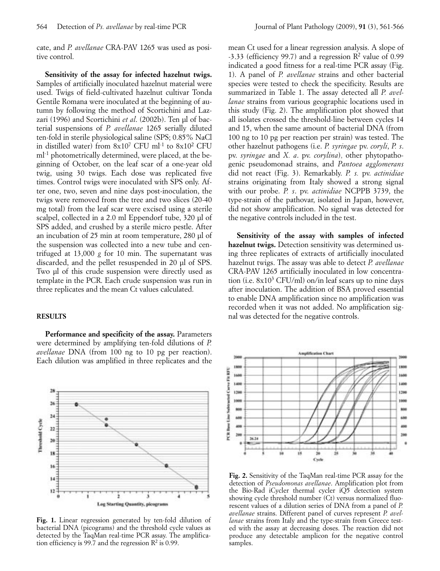cate, and *P. avellanae* CRA-PAV 1265 was used as positive control.

**Sensitivity of the assay for infected hazelnut twigs.** Samples of artificially inoculated hazelnut material were used. Twigs of field-cultivated hazelnut cultivar Tonda Gentile Romana were inoculated at the beginning of autumn by following the method of Scortichini and Lazzari (1996) and Scortichini *et al.* (2002b). Ten ul of bacterial suspensions of *P. avellanae* 1265 serially diluted ten-fold in sterile physiological saline (SPS; 0.85% NaCl in distilled water) from  $8x10^7$  CFU ml<sup>-1</sup> to  $8x10^2$  CFU ml<sup>-1</sup> photometrically determined, were placed, at the beginning of October, on the leaf scar of a one-year old twig, using 30 twigs. Each dose was replicated five times. Control twigs were inoculated with SPS only. After one, two, seven and nine days post-inoculation, the twigs were removed from the tree and two slices (20-40 mg total) from the leaf scar were excised using a sterile scalpel, collected in a 2.0 ml Eppendorf tube, 320 µl of SPS added, and crushed by a sterile micro pestle. After an incubation of 25 min at room temperature, 280 µl of the suspension was collected into a new tube and centrifuged at 13,000 *g* for 10 min. The supernatant was discarded, and the pellet resuspended in 20 µl of SPS. Two µl of this crude suspension were directly used as template in the PCR. Each crude suspension was run in three replicates and the mean Ct values calculated.

## **RESULTS**

Performance and specificity of the assay. Parameters were determined by amplifying ten-fold dilutions of *P. avellanae* DNA (from 100 ng to 10 pg per reaction). Each dilution was amplified in three replicates and the



**Fig. 1.** Linear regression generated by ten-fold dilution of bacterial DNA (picograms) and the threshold cycle values as detected by the TaqMan real-time PCR assay. The amplification efficiency is 99.7 and the regression  $\mathbb{R}^2$  is 0.99.

mean Ct used for a linear regression analysis. A slope of  $-3.33$  (efficiency 99.7) and a regression  $\mathbb{R}^2$  value of 0.99 indicated a good fitness for a real-time PCR assay (Fig. 1). A panel of *P. avellanae* strains and other bacterial species were tested to check the specificity. Results are summarized in Table 1. The assay detected all *P. avellanae* strains from various geographic locations used in this study (Fig. 2). The amplification plot showed that all isolates crossed the threshold-line between cycles 14 and 15, when the same amount of bacterial DNA (from 100 ng to 10 pg per reaction per strain) was tested. The other hazelnut pathogens (i.e. *P. syringae* pv. *coryli*, *P. s*. pv. *syringae* and *X. a*. pv. *corylina*), other phytopathogenic pseudomonad strains, and *Pantoea agglomerans* did not react (Fig. 3). Remarkably. *P. s.* pv. *actinidiae* strains originating from Italy showed a strong signal with our probe. *P. s*. pv. *actinidiae* NCPPB 3739, the type-strain of the pathovar, isolated in Japan, however, did not show amplification. No signal was detected for the negative controls included in the test.

**Sensitivity of the assay with samples of infected hazelnut twigs.** Detection sensitivity was determined using three replicates of extracts of artificially inoculated hazelnut twigs. The assay was able to detect *P. avellanae* CRA-PAV 1265 artificially inoculated in low concentration (i.e.  $8x10^3$  CFU/ml) on/in leaf scars up to nine days after inoculation. The addition of BSA proved essential to enable DNA amplification since no amplification was recorded when it was not added. No amplification signal was detected for the negative controls.



**Fig. 2.** Sensitivity of the TaqMan real-time PCR assay for the detection of *Pseudomonas avellanae*. Amplification plot from the Bio-Rad iCycler thermal cycler iQ5 detection system showing cycle threshold number (Ct) versus normalized fluorescent values of a dilution series of DNA from a panel of *P. avellanae* strains. Different panel of curves represent *P. avellanae* strains from Italy and the type-strain from Greece tested with the assay at decreasing doses. The reaction did not produce any detectable amplicon for the negative control samples.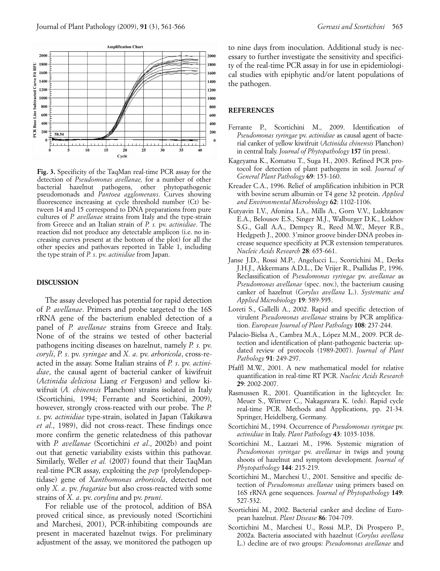

**Fig. 3.** Specificity of the TaqMan real-time PCR assay for the detection of *Pseudomonas avellanae,* for a number of other bacterial hazelnut pathogens, other phytopathogenic pseudomonads and *Pantoea agglomerans*. Curves showing fluorescence increasing at cycle threshold number (Ct) between 14 and 15 correspond to DNA preparations from pure cultures of *P. avellanae* strains from Italy and the type-strain from Greece and an Italian strain of *P. s.* pv. *actinidiae*. The reaction did not produce any detectable amplicon (i.e. no increasing curves present at the bottom of the plot) for all the other species and pathovars reported in Table 1, including the type strain of *P. s*. pv. *actinidiae* from Japan.

#### **DISCUSSION**

The assay developed has potential for rapid detection of *P. avellanae*. Primers and probe targeted to the 16S rRNA gene of the bacterium enabled detection of a panel of *P. avellanae* strains from Greece and Italy. None of of the strains we tested of other bacterial pathogens inciting diseases on hazelnut, namely *P. s.* pv. *coryli*, *P. s*. pv. *syringae* and *X. a*. pv. *arboricola*, cross-reacted in the assay. Some Italian strains of *P. s*. pv. *actinidiae*, the causal agent of bacterial canker of kiwifruit (*Actinidia deliciosa* Liang *et* Ferguson) and yellow kiwifruit (*A. chinensis* Planchon) strains isolated in Italy (Scortichini, 1994; Ferrante and Scortichini, 2009), however, strongly cross-reacted with our probe. The *P. s*. pv. *actinidiae* type-strain, isolated in Japan (Takikawa *et al*., 1989), did not cross-react. These findings once more confirm the genetic relatedness of this pathovar with *P. avellanae* (Scortichini *et al*., 2002b) and point out that genetic variability exists within this pathovar. Similarly, Weller *et al.* (2007) found that their TaqMan real-time PCR assay, exploiting the *pep* (prolylendopeptidase) gene of *Xanthomonas arboricola*, detected not only *X. a*. pv. *fragariae* but also cross-reacted with some strains of *X. a*. pv. *corylina* and pv. *pruni*.

For reliable use of the protocol, addition of BSA proved critical since, as previously noted (Scortichini and Marchesi, 2001), PCR-inhibiting compounds are present in macerated hazelnut twigs. For preliminary adjustment of the assay, we monitored the pathogen up to nine days from inoculation. Additional study is necessary to further investigate the sensitivity and specificity of the real-time PCR assay in for use in epidemiological studies with epiphytic and/or latent populations of the pathogen.

#### **REFERENCES**

- Ferrante P., Scortichini M., 2009. Identification of *Pseudomonas syringae* pv. *actinidiae* as causal agent of bacterial canker of yellow kiwifruit (*Actinidia chinensis* Planchon) in central Italy. *Journal of Phytopathology* **157** (in press).
- Kageyama K., Komatsu T., Suga H., 2003. Refined PCR protocol for detection of plant pathogens in soil. *Journal of General Plant Pathology* **69**: 153-160.
- Kreader C.A., 1996. Relief of amplification inhibition in PCR with bovine serum albumin or T4 gene 32 protein. *Applied and Environmental Microbiology* **62**: 1102-1106.
- Kutyavin I.V., Afonina I.A., Mills A., Gorn V.V., Lukhtanov E.A., Belousov E.S., Singer M.J., Walburger D.K., Lokhov S.G., Gall A.A., Dempcy R., Reed M.W., Meyer R.B., Hedgpeth J., 2000. 3'minor groove binder-DNA probes increase sequence specificity at PCR extension temperatures. *Nucleic Acids Research* **28**: 655-661.
- Janse J.D., Rossi M.P., Angelucci L., Scortichini M., Derks J.H.J., Akkermans A.D.L., De Vrijer R., Psallidas P., 1996. Reclassification of *Pseudomonas syringae* pv. *avellanae* as *Pseudomonas avellanae* (spec. nov.), the bacterium causing canker of hazelnut (*Corylus avellana* L.). *Systematic and Applied Microbiology* **19**: 589-595.
- Loreti S., Gallelli A., 2002. Rapid and specific detection of virulent *Pseudomonas avellanae* strains by PCR amplification. *European Journal of Plant Pathology* **108**: 237-244.
- Palacio-Bielsa A., Cambra M.A., López M.M., 2009. PCR detection and identification of plant-pathogenic bacteria: updated review of protocols (1989-2007). *Journal of Plant Pathology* **91**: 249-297.
- Pfaffl M.W., 2001. A new mathematical model for relative quantification in real-time RT PCR. *Nucleic Acids Research* **29**: 2002-2007.
- Rasmussen R., 2001. Quantification in the lightcycler. In: Meuer S., Wittwer C., Nakagawara K. (eds). Rapid cycle real-time PCR. Methods and Applications, pp. 21-34. Springer, Heidelberg, Germany.
- Scortichini M., 1994. Occurrence of *Pseudomonas syringae* pv. *actinidiae* in Italy. *Plant Pathology* **43**: 1035-1038.
- Scortichini M., Lazzari M., 1996. Systemic migration of *Pseudomonas syringae* pv. *avellanae* in twigs and young shoots of hazelnut and symptom development*. Journal of Phytopathology* **144**: 215-219.
- Scortichini M., Marchesi U., 2001. Sensitive and specific detection of *Pseudomonas avellanae* using primers based on 16S rRNA gene sequences. *Journal of Phytopathology* **149**: 527-532.
- Scortichini M., 2002. Bacterial canker and decline of European hazelnut. *Plant Disease* **86**: 704-709.
- Scortichini M., Marchesi U., Rossi M.P., Di Prospero P., 2002a. Bacteria associated with hazelnut (*Corylus avellana* L.) decline are of two groups: *Pseudomonas avellanae* and